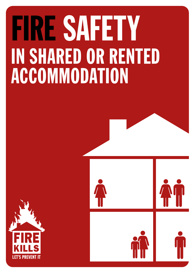# FIRE SAFETY IN SHARED OR RENTED ACCOMMODATION



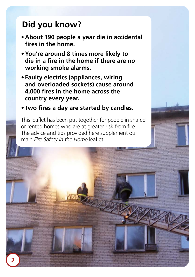### **Did you know?**

- **• About 190 people a year die in accidental fires in the home.**
- **•You're around 8 times more likely to die in a fire in the home if there are no working smoke alarms.**
- **• Faulty electrics (appliances, wiring and overloaded sockets) cause around 4,000 fires in the home across the country every year.**
- **• Two fires a day are started by candles.**

This leaflet has been put together for people in shared or rented homes who are at greater risk from fire. The advice and tips provided here supplement our main *Fire Safety in the Home* leaflet.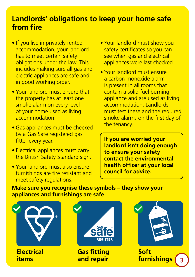#### **Landlords' obligations to keep your home safe from fire**

- If you live in privately rented accommodation, your landlord has to meet certain safety obligations under the law. This includes making sure all gas and electric appliances are safe and in good working order.
- Your landlord must ensure that the property has at least one smoke alarm on every level of your home used as living accommodation.
- Gas appliances must be checked by a Gas Safe registered gas fitter every year.
- Electrical appliances must carry the British Safety Standard sign.
- Your landlord must also ensure furnishings are fire resistant and meet safety regulations.
- Your landlord must show you safety certificates so you can see when gas and electrical appliances were last checked.
- Your landlord must ensure a carbon monoxide alarm is present in all rooms that contain a solid fuel burning appliance and are used as living accommodation. Landlords must test these and the required smoke alarms on the first day of the tenancy.

**If you are worried your landlord isn't doing enough to ensure your safety contact the environmental health officer at your local council for advice.**

**Make sure you recognise these symbols – they show your appliances and furnishings are safe**

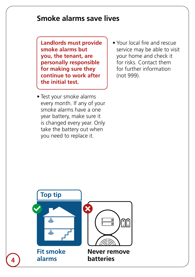#### **Smoke alarms save lives**

**Landlords must provide smoke alarms but you, the tenant, are personally responsible for making sure they continue to work after the initial test.**

- Test your smoke alarms every month. If any of your smoke alarms have a one year battery, make sure it is changed every year. Only take the battery out when you need to replace it.
- Your local fire and rescue service may be able to visit your home and check it for risks. Contact them for further information (not 999).

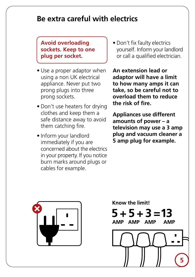#### **Be extra careful with electrics**

#### **Avoid overloading sockets. Keep to one plug per socket.**

- Use a proper adaptor when using a non UK electrical appliance. Never put two prong plugs into three prong sockets.
- Don't use heaters for drying clothes and keep them a safe distance away to avoid them catching fire.
- Inform your landlord immediately if you are concerned about the electrics in your property. If you notice burn marks around plugs or cables for example.

• Don't fix faulty electrics yourself. Inform your landlord or call a qualified electrician.

**An extension lead or adaptor will have a limit to how many amps it can take, so be careful not to overload them to reduce the risk of fire.**

**Appliances use different amounts of power – a television may use a 3 amp plug and vacuum cleaner a 5 amp plug for example.**



Know the limit!  $5 + 5 + 3 = 13$ 

AMP AMP AMP



**AMP**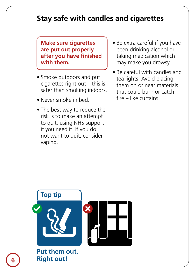#### **Stay safe with candles and cigarettes**

**Make sure cigarettes are put out properly after you have finished with them.**

- Smoke outdoors and put cigarettes right out – this is safer than smoking indoors.
- Never smoke in bed.
- The best way to reduce the risk is to make an attempt to quit, using NHS support if you need it. If you do not want to quit, consider vaping.
- Be extra careful if you have been drinking alcohol or taking medication which may make you drowsy.
- Be careful with candles and tea lights. Avoid placing them on or near materials that could burn or catch fire – like curtains.

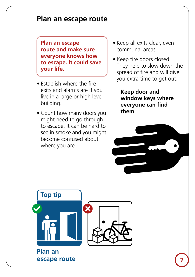#### **Plan an escape route**

**Plan an escape route and make sure everyone knows how to escape. It could save your life.**

- Establish where the fire exits and alarms are if you live in a large or high level building.
- Count how many doors you might need to go through to escape. It can be hard to see in smoke and you might become confused about where you are.
- Keep all exits clear, even communal areas.
- Keep fire doors closed. They help to slow down the spread of fire and will give you extra time to get out.

**Keep door and window keys where everyone can find them**